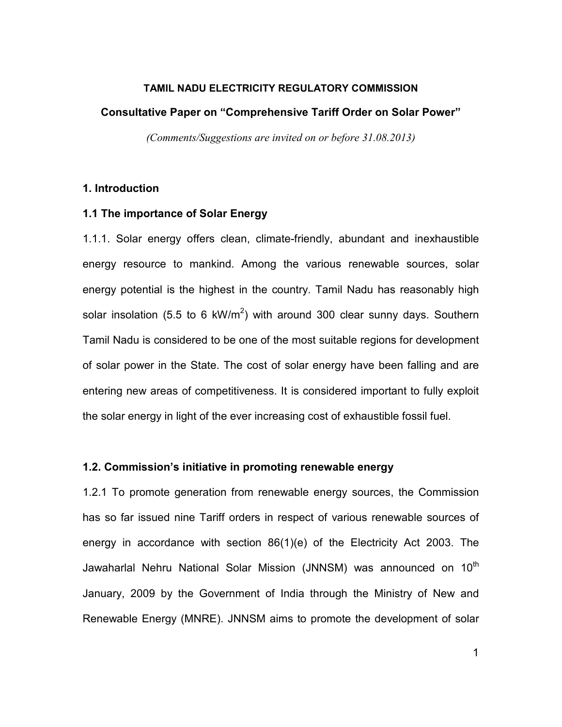#### TAMIL NADU ELECTRICITY REGULATORY COMMISSION

#### Consultative Paper on "Comprehensive Tariff Order on Solar Power"

(Comments/Suggestions are invited on or before 31.08.2013)

### 1. Introduction

### 1.1 The importance of Solar Energy

1.1.1. Solar energy offers clean, climate-friendly, abundant and inexhaustible energy resource to mankind. Among the various renewable sources, solar energy potential is the highest in the country. Tamil Nadu has reasonably high solar insolation (5.5 to 6 kW/m<sup>2</sup>) with around 300 clear sunny days. Southern Tamil Nadu is considered to be one of the most suitable regions for development of solar power in the State. The cost of solar energy have been falling and are entering new areas of competitiveness. It is considered important to fully exploit the solar energy in light of the ever increasing cost of exhaustible fossil fuel.

### 1.2. Commission's initiative in promoting renewable energy

1.2.1 To promote generation from renewable energy sources, the Commission has so far issued nine Tariff orders in respect of various renewable sources of energy in accordance with section 86(1)(e) of the Electricity Act 2003. The Jawaharlal Nehru National Solar Mission (JNNSM) was announced on 10<sup>th</sup> January, 2009 by the Government of India through the Ministry of New and Renewable Energy (MNRE). JNNSM aims to promote the development of solar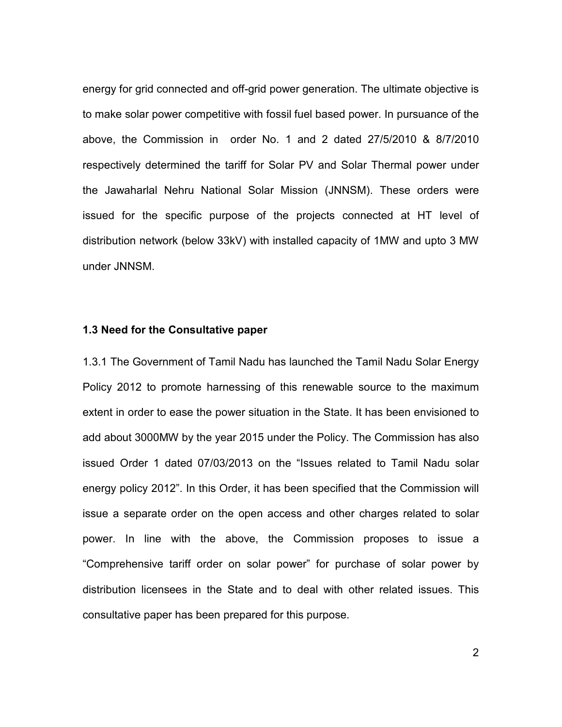energy for grid connected and off-grid power generation. The ultimate objective is to make solar power competitive with fossil fuel based power. In pursuance of the above, the Commission in order No. 1 and 2 dated 27/5/2010 & 8/7/2010 respectively determined the tariff for Solar PV and Solar Thermal power under the Jawaharlal Nehru National Solar Mission (JNNSM). These orders were issued for the specific purpose of the projects connected at HT level of distribution network (below 33kV) with installed capacity of 1MW and upto 3 MW under JNNSM.

#### 1.3 Need for the Consultative paper

1.3.1 The Government of Tamil Nadu has launched the Tamil Nadu Solar Energy Policy 2012 to promote harnessing of this renewable source to the maximum extent in order to ease the power situation in the State. It has been envisioned to add about 3000MW by the year 2015 under the Policy. The Commission has also issued Order 1 dated 07/03/2013 on the "Issues related to Tamil Nadu solar energy policy 2012". In this Order, it has been specified that the Commission will issue a separate order on the open access and other charges related to solar power. In line with the above, the Commission proposes to issue a "Comprehensive tariff order on solar power" for purchase of solar power by distribution licensees in the State and to deal with other related issues. This consultative paper has been prepared for this purpose.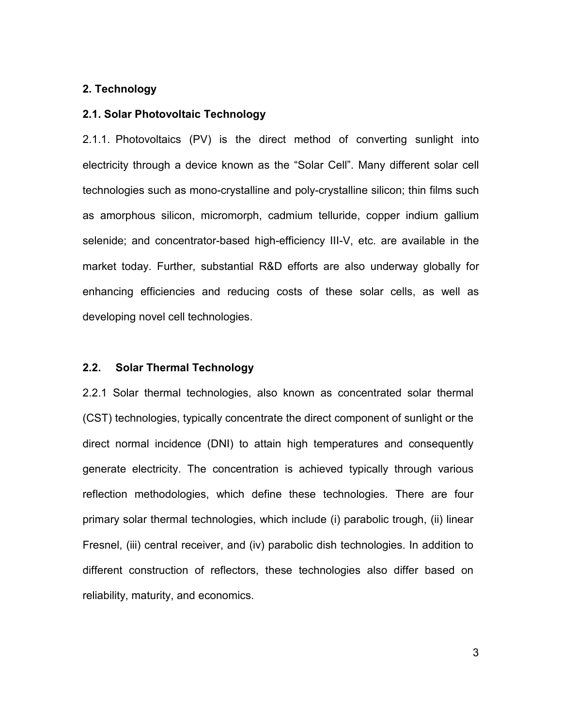### 2. Technology

#### 2.1. Solar Photovoltaic Technology

2.1.1. Photovoltaics (PV) is the direct method of converting sunlight into electricity through a device known as the "Solar Cell". Many different solar cell technologies such as mono-crystalline and poly-crystalline silicon; thin films such as amorphous silicon, micromorph, cadmium telluride, copper indium gallium selenide; and concentrator-based high-efficiency III-V, etc. are available in the market today. Further, substantial R&D efforts are also underway globally for enhancing efficiencies and reducing costs of these solar cells, as well as developing novel cell technologies.

#### 2.2. Solar Thermal Technology

2.2.1 Solar thermal technologies, also known as concentrated solar thermal (CST) technologies, typically concentrate the direct component of sunlight or the direct normal incidence (DNI) to attain high temperatures and consequently generate electricity. The concentration is achieved typically through various reflection methodologies, which define these technologies. There are four primary solar thermal technologies, which include (i) parabolic trough, (ii) linear Fresnel, (iii) central receiver, and (iv) parabolic dish technologies. In addition to different construction of reflectors, these technologies also differ based on reliability, maturity, and economics.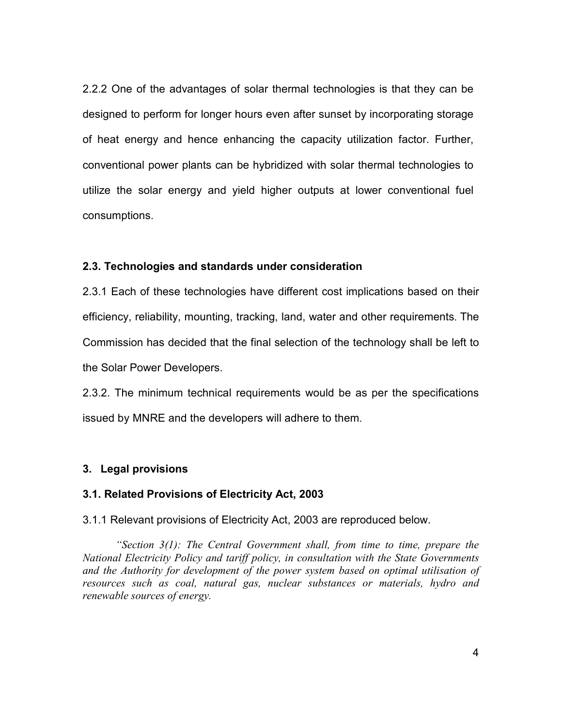2.2.2 One of the advantages of solar thermal technologies is that they can be designed to perform for longer hours even after sunset by incorporating storage of heat energy and hence enhancing the capacity utilization factor. Further, conventional power plants can be hybridized with solar thermal technologies to utilize the solar energy and yield higher outputs at lower conventional fuel consumptions.

### 2.3. Technologies and standards under consideration

2.3.1 Each of these technologies have different cost implications based on their efficiency, reliability, mounting, tracking, land, water and other requirements. The Commission has decided that the final selection of the technology shall be left to the Solar Power Developers.

2.3.2. The minimum technical requirements would be as per the specifications issued by MNRE and the developers will adhere to them.

### 3. Legal provisions

### 3.1. Related Provisions of Electricity Act, 2003

3.1.1 Relevant provisions of Electricity Act, 2003 are reproduced below.

"Section  $3(1)$ : The Central Government shall, from time to time, prepare the National Electricity Policy and tariff policy, in consultation with the State Governments and the Authority for development of the power system based on optimal utilisation of resources such as coal, natural gas, nuclear substances or materials, hydro and renewable sources of energy.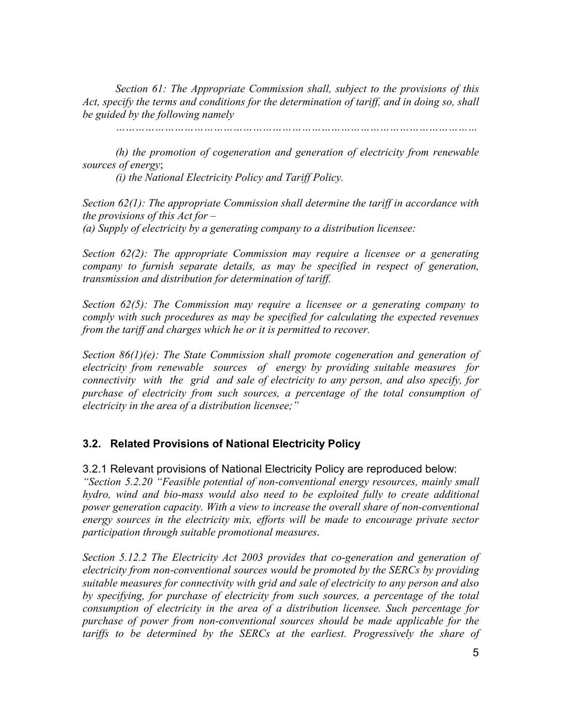Section 61: The Appropriate Commission shall, subject to the provisions of this Act, specify the terms and conditions for the determination of tariff, and in doing so, shall be guided by the following namely

…………………………………………………………………………………………………

(h) the promotion of cogeneration and generation of electricity from renewable sources of energy;

(i) the National Electricity Policy and Tariff Policy.

Section 62(1): The appropriate Commission shall determine the tariff in accordance with the provisions of this  $Act$  for  $-$ (a) Supply of electricity by a generating company to a distribution licensee:

Section 62(2): The appropriate Commission may require a licensee or a generating company to furnish separate details, as may be specified in respect of generation, transmission and distribution for determination of tariff.

Section 62(5): The Commission may require a licensee or a generating company to comply with such procedures as may be specified for calculating the expected revenues from the tariff and charges which he or it is permitted to recover.

Section 86(1)(e): The State Commission shall promote cogeneration and generation of electricity from renewable sources of energy by providing suitable measures for connectivity with the grid and sale of electricity to any person, and also specify, for purchase of electricity from such sources, a percentage of the total consumption of electricity in the area of a distribution licensee;"

### 3.2. Related Provisions of National Electricity Policy

3.2.1 Relevant provisions of National Electricity Policy are reproduced below:

"Section 5.2.20 "Feasible potential of non-conventional energy resources, mainly small hydro, wind and bio-mass would also need to be exploited fully to create additional power generation capacity. With a view to increase the overall share of non-conventional energy sources in the electricity mix, efforts will be made to encourage private sector participation through suitable promotional measures.

Section 5.12.2 The Electricity Act 2003 provides that co-generation and generation of electricity from non-conventional sources would be promoted by the SERCs by providing suitable measures for connectivity with grid and sale of electricity to any person and also by specifying, for purchase of electricity from such sources, a percentage of the total consumption of electricity in the area of a distribution licensee. Such percentage for purchase of power from non-conventional sources should be made applicable for the tariffs to be determined by the SERCs at the earliest. Progressively the share of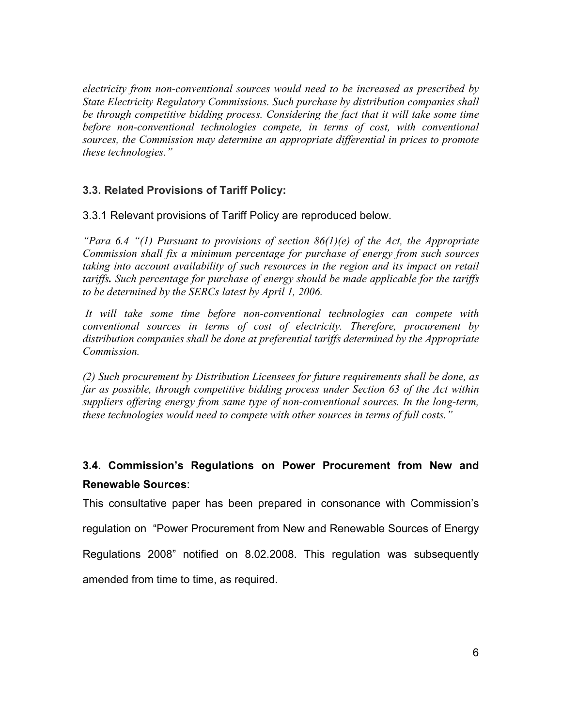electricity from non-conventional sources would need to be increased as prescribed by State Electricity Regulatory Commissions. Such purchase by distribution companies shall be through competitive bidding process. Considering the fact that it will take some time before non-conventional technologies compete, in terms of cost, with conventional sources, the Commission may determine an appropriate differential in prices to promote these technologies."

## 3.3. Related Provisions of Tariff Policy:

3.3.1 Relevant provisions of Tariff Policy are reproduced below.

"Para 6.4 "(1) Pursuant to provisions of section  $86(1)(e)$  of the Act, the Appropriate Commission shall fix a minimum percentage for purchase of energy from such sources taking into account availability of such resources in the region and its impact on retail tariffs. Such percentage for purchase of energy should be made applicable for the tariffs to be determined by the SERCs latest by April 1, 2006.

 It will take some time before non-conventional technologies can compete with conventional sources in terms of cost of electricity. Therefore, procurement by distribution companies shall be done at preferential tariffs determined by the Appropriate Commission.

(2) Such procurement by Distribution Licensees for future requirements shall be done, as far as possible, through competitive bidding process under Section 63 of the Act within suppliers offering energy from same type of non-conventional sources. In the long-term, these technologies would need to compete with other sources in terms of full costs."

# 3.4. Commission's Regulations on Power Procurement from New and Renewable Sources:

This consultative paper has been prepared in consonance with Commission's regulation on "Power Procurement from New and Renewable Sources of Energy Regulations 2008" notified on 8.02.2008. This regulation was subsequently amended from time to time, as required.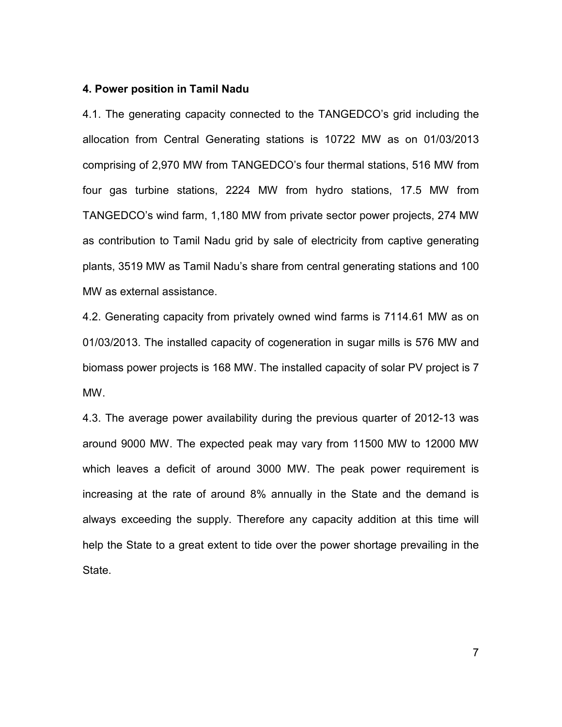#### 4. Power position in Tamil Nadu

4.1. The generating capacity connected to the TANGEDCO's grid including the allocation from Central Generating stations is 10722 MW as on 01/03/2013 comprising of 2,970 MW from TANGEDCO's four thermal stations, 516 MW from four gas turbine stations, 2224 MW from hydro stations, 17.5 MW from TANGEDCO's wind farm, 1,180 MW from private sector power projects, 274 MW as contribution to Tamil Nadu grid by sale of electricity from captive generating plants, 3519 MW as Tamil Nadu's share from central generating stations and 100 MW as external assistance.

4.2. Generating capacity from privately owned wind farms is 7114.61 MW as on 01/03/2013. The installed capacity of cogeneration in sugar mills is 576 MW and biomass power projects is 168 MW. The installed capacity of solar PV project is 7 MW.

4.3. The average power availability during the previous quarter of 2012-13 was around 9000 MW. The expected peak may vary from 11500 MW to 12000 MW which leaves a deficit of around 3000 MW. The peak power requirement is increasing at the rate of around 8% annually in the State and the demand is always exceeding the supply. Therefore any capacity addition at this time will help the State to a great extent to tide over the power shortage prevailing in the State.

7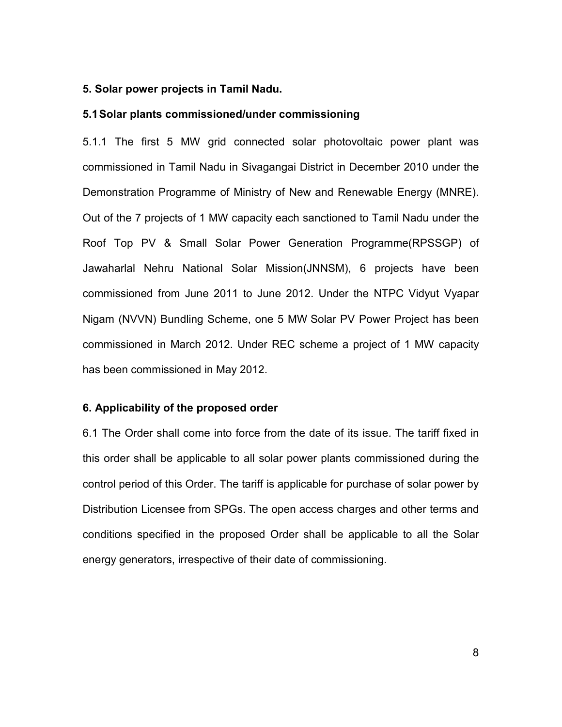#### 5. Solar power projects in Tamil Nadu.

#### 5.1 Solar plants commissioned/under commissioning

5.1.1 The first 5 MW grid connected solar photovoltaic power plant was commissioned in Tamil Nadu in Sivagangai District in December 2010 under the Demonstration Programme of Ministry of New and Renewable Energy (MNRE). Out of the 7 projects of 1 MW capacity each sanctioned to Tamil Nadu under the Roof Top PV & Small Solar Power Generation Programme(RPSSGP) of Jawaharlal Nehru National Solar Mission(JNNSM), 6 projects have been commissioned from June 2011 to June 2012. Under the NTPC Vidyut Vyapar Nigam (NVVN) Bundling Scheme, one 5 MW Solar PV Power Project has been commissioned in March 2012. Under REC scheme a project of 1 MW capacity has been commissioned in May 2012.

#### 6. Applicability of the proposed order

6.1 The Order shall come into force from the date of its issue. The tariff fixed in this order shall be applicable to all solar power plants commissioned during the control period of this Order. The tariff is applicable for purchase of solar power by Distribution Licensee from SPGs. The open access charges and other terms and conditions specified in the proposed Order shall be applicable to all the Solar energy generators, irrespective of their date of commissioning.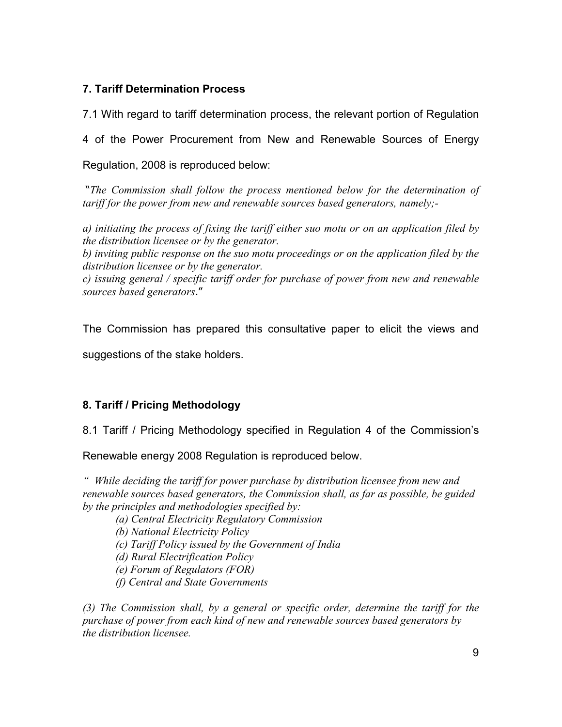## 7. Tariff Determination Process

7.1 With regard to tariff determination process, the relevant portion of Regulation

4 of the Power Procurement from New and Renewable Sources of Energy

Regulation, 2008 is reproduced below:

 "The Commission shall follow the process mentioned below for the determination of tariff for the power from new and renewable sources based generators, namely;-

a) initiating the process of fixing the tariff either suo motu or on an application filed by the distribution licensee or by the generator.

b) inviting public response on the suo motu proceedings or on the application filed by the distribution licensee or by the generator.

c) issuing general / specific tariff order for purchase of power from new and renewable sources based generators."

The Commission has prepared this consultative paper to elicit the views and

suggestions of the stake holders.

## 8. Tariff / Pricing Methodology

8.1 Tariff / Pricing Methodology specified in Regulation 4 of the Commission's

Renewable energy 2008 Regulation is reproduced below.

" While deciding the tariff for power purchase by distribution licensee from new and renewable sources based generators, the Commission shall, as far as possible, be guided by the principles and methodologies specified by:

(a) Central Electricity Regulatory Commission

(b) National Electricity Policy

(c) Tariff Policy issued by the Government of India

(d) Rural Electrification Policy

(e) Forum of Regulators (FOR)

(f) Central and State Governments

(3) The Commission shall, by a general or specific order, determine the tariff for the purchase of power from each kind of new and renewable sources based generators by the distribution licensee.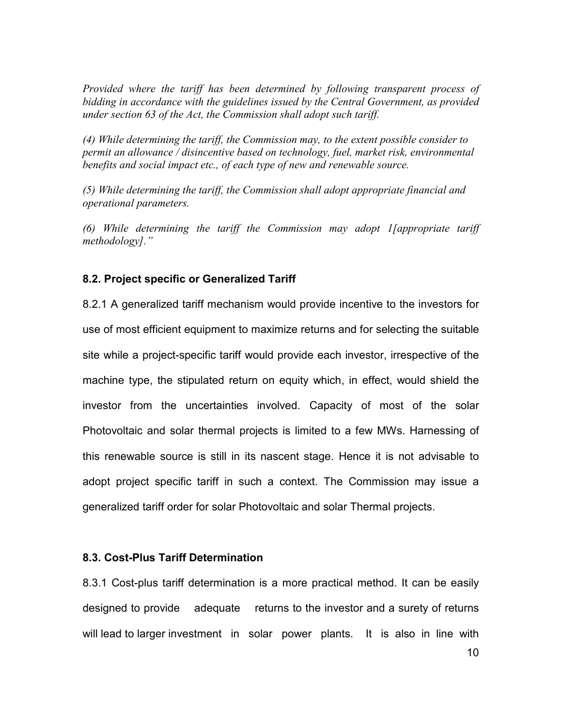Provided where the tariff has been determined by following transparent process of bidding in accordance with the guidelines issued by the Central Government, as provided under section 63 of the Act, the Commission shall adopt such tariff.

(4) While determining the tariff, the Commission may, to the extent possible consider to permit an allowance / disincentive based on technology, fuel, market risk, environmental benefits and social impact etc., of each type of new and renewable source.

(5) While determining the tariff, the Commission shall adopt appropriate financial and operational parameters.

(6) While determining the tariff the Commission may adopt I [appropriate tariff methodology]."

### 8.2. Project specific or Generalized Tariff

8.2.1 A generalized tariff mechanism would provide incentive to the investors for use of most efficient equipment to maximize returns and for selecting the suitable site while a project-specific tariff would provide each investor, irrespective of the machine type, the stipulated return on equity which, in effect, would shield the investor from the uncertainties involved. Capacity of most of the solar Photovoltaic and solar thermal projects is limited to a few MWs. Harnessing of this renewable source is still in its nascent stage. Hence it is not advisable to adopt project specific tariff in such a context. The Commission may issue a generalized tariff order for solar Photovoltaic and solar Thermal projects.

### 8.3. Cost-Plus Tariff Determination

8.3.1 Cost-plus tariff determination is a more practical method. It can be easily designed to provide adequate returns to the investor and a surety of returns will lead to larger investment in solar power plants. It is also in line with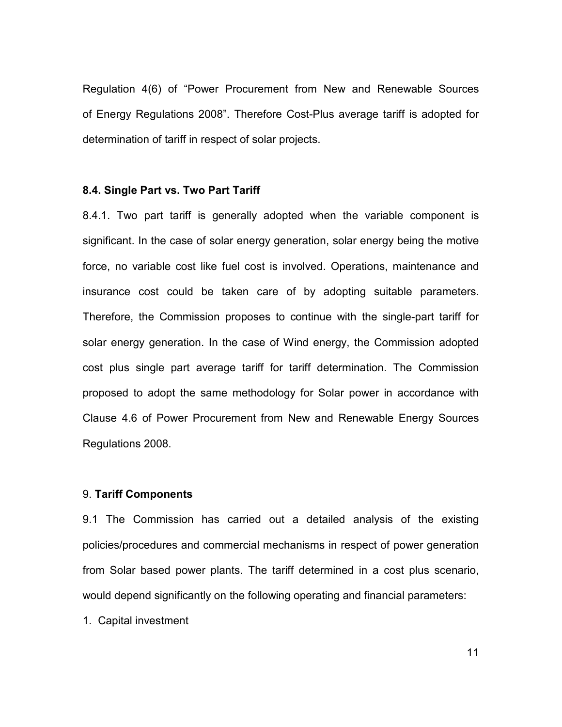Regulation 4(6) of "Power Procurement from New and Renewable Sources of Energy Regulations 2008". Therefore Cost-Plus average tariff is adopted for determination of tariff in respect of solar projects.

#### 8.4. Single Part vs. Two Part Tariff

8.4.1. Two part tariff is generally adopted when the variable component is significant. In the case of solar energy generation, solar energy being the motive force, no variable cost like fuel cost is involved. Operations, maintenance and insurance cost could be taken care of by adopting suitable parameters. Therefore, the Commission proposes to continue with the single-part tariff for solar energy generation. In the case of Wind energy, the Commission adopted cost plus single part average tariff for tariff determination. The Commission proposed to adopt the same methodology for Solar power in accordance with Clause 4.6 of Power Procurement from New and Renewable Energy Sources Regulations 2008.

### 9. Tariff Components

9.1 The Commission has carried out a detailed analysis of the existing policies/procedures and commercial mechanisms in respect of power generation from Solar based power plants. The tariff determined in a cost plus scenario, would depend significantly on the following operating and financial parameters:

1. Capital investment

11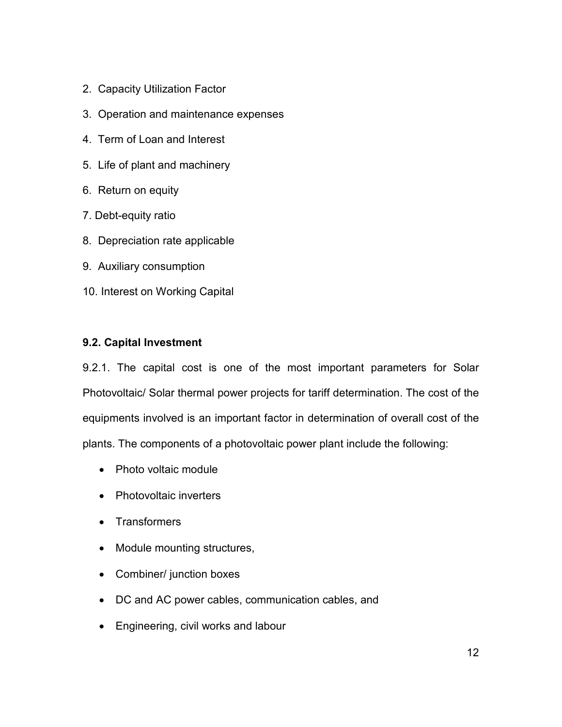- 2. Capacity Utilization Factor
- 3. Operation and maintenance expenses
- 4. Term of Loan and Interest
- 5. Life of plant and machinery
- 6. Return on equity
- 7. Debt-equity ratio
- 8. Depreciation rate applicable
- 9. Auxiliary consumption
- 10. Interest on Working Capital

## 9.2. Capital Investment

9.2.1. The capital cost is one of the most important parameters for Solar Photovoltaic/ Solar thermal power projects for tariff determination. The cost of the equipments involved is an important factor in determination of overall cost of the plants. The components of a photovoltaic power plant include the following:

- Photo voltaic module
- Photovoltaic inverters
- Transformers
- Module mounting structures,
- Combiner/ junction boxes
- DC and AC power cables, communication cables, and
- Engineering, civil works and labour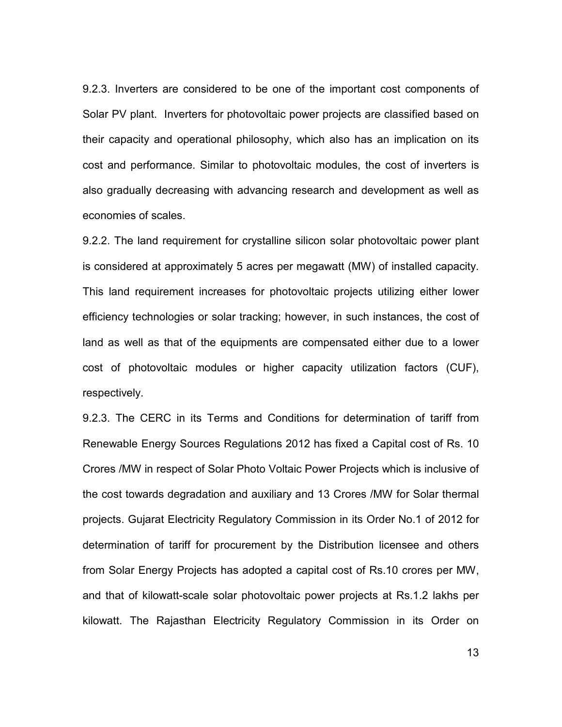9.2.3. Inverters are considered to be one of the important cost components of Solar PV plant. Inverters for photovoltaic power projects are classified based on their capacity and operational philosophy, which also has an implication on its cost and performance. Similar to photovoltaic modules, the cost of inverters is also gradually decreasing with advancing research and development as well as economies of scales.

9.2.2. The land requirement for crystalline silicon solar photovoltaic power plant is considered at approximately 5 acres per megawatt (MW) of installed capacity. This land requirement increases for photovoltaic projects utilizing either lower efficiency technologies or solar tracking; however, in such instances, the cost of land as well as that of the equipments are compensated either due to a lower cost of photovoltaic modules or higher capacity utilization factors (CUF), respectively.

9.2.3. The CERC in its Terms and Conditions for determination of tariff from Renewable Energy Sources Regulations 2012 has fixed a Capital cost of Rs. 10 Crores /MW in respect of Solar Photo Voltaic Power Projects which is inclusive of the cost towards degradation and auxiliary and 13 Crores /MW for Solar thermal projects. Gujarat Electricity Regulatory Commission in its Order No.1 of 2012 for determination of tariff for procurement by the Distribution licensee and others from Solar Energy Projects has adopted a capital cost of Rs.10 crores per MW, and that of kilowatt-scale solar photovoltaic power projects at Rs.1.2 lakhs per kilowatt. The Rajasthan Electricity Regulatory Commission in its Order on

13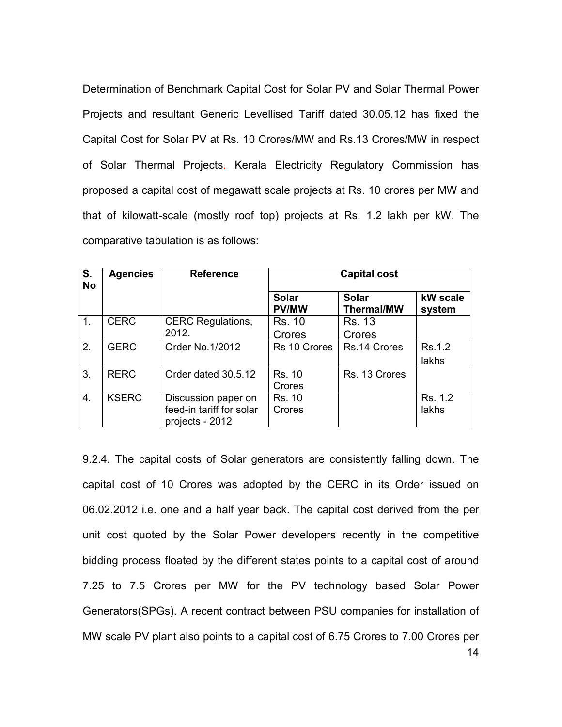Determination of Benchmark Capital Cost for Solar PV and Solar Thermal Power Projects and resultant Generic Levellised Tariff dated 30.05.12 has fixed the Capital Cost for Solar PV at Rs. 10 Crores/MW and Rs.13 Crores/MW in respect of Solar Thermal Projects. Kerala Electricity Regulatory Commission has proposed a capital cost of megawatt scale projects at Rs. 10 crores per MW and that of kilowatt-scale (mostly roof top) projects at Rs. 1.2 lakh per kW. The comparative tabulation is as follows:

| S.<br><b>No</b> | <b>Agencies</b> | <b>Reference</b>         | <b>Capital cost</b>          |                                   |                    |  |  |  |  |  |  |  |
|-----------------|-----------------|--------------------------|------------------------------|-----------------------------------|--------------------|--|--|--|--|--|--|--|
|                 |                 |                          | <b>Solar</b><br><b>PV/MW</b> | <b>Solar</b><br><b>Thermal/MW</b> | kW scale<br>system |  |  |  |  |  |  |  |
| 1.              | <b>CERC</b>     | <b>CERC Regulations,</b> | <b>Rs. 10</b>                | <b>Rs. 13</b>                     |                    |  |  |  |  |  |  |  |
|                 |                 | 2012.                    | Crores                       | Crores                            |                    |  |  |  |  |  |  |  |
| 2.              | <b>GERC</b>     | Order No.1/2012          | Rs 10 Crores                 | Rs.14 Crores                      | Rs.1.2             |  |  |  |  |  |  |  |
|                 |                 |                          |                              |                                   | lakhs              |  |  |  |  |  |  |  |
| 3.              | <b>RERC</b>     | Order dated 30.5.12      | <b>Rs. 10</b>                | Rs. 13 Crores                     |                    |  |  |  |  |  |  |  |
|                 |                 |                          | Crores                       |                                   |                    |  |  |  |  |  |  |  |
| 4.              | <b>KSERC</b>    | Discussion paper on      | Rs. 10                       |                                   | Rs. 1.2            |  |  |  |  |  |  |  |
|                 |                 | feed-in tariff for solar | Crores                       |                                   | lakhs              |  |  |  |  |  |  |  |
|                 |                 | projects - 2012          |                              |                                   |                    |  |  |  |  |  |  |  |

14 9.2.4. The capital costs of Solar generators are consistently falling down. The capital cost of 10 Crores was adopted by the CERC in its Order issued on 06.02.2012 i.e. one and a half year back. The capital cost derived from the per unit cost quoted by the Solar Power developers recently in the competitive bidding process floated by the different states points to a capital cost of around 7.25 to 7.5 Crores per MW for the PV technology based Solar Power Generators(SPGs). A recent contract between PSU companies for installation of MW scale PV plant also points to a capital cost of 6.75 Crores to 7.00 Crores per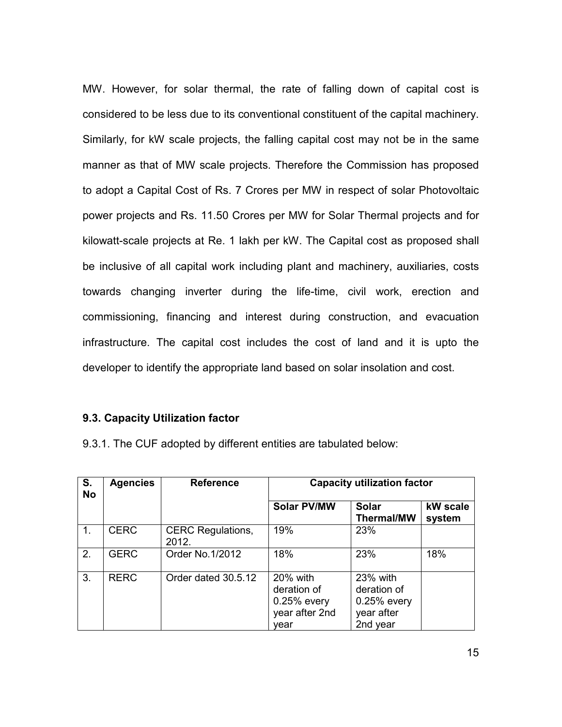MW. However, for solar thermal, the rate of falling down of capital cost is considered to be less due to its conventional constituent of the capital machinery. Similarly, for kW scale projects, the falling capital cost may not be in the same manner as that of MW scale projects. Therefore the Commission has proposed to adopt a Capital Cost of Rs. 7 Crores per MW in respect of solar Photovoltaic power projects and Rs. 11.50 Crores per MW for Solar Thermal projects and for kilowatt-scale projects at Re. 1 lakh per kW. The Capital cost as proposed shall be inclusive of all capital work including plant and machinery, auxiliaries, costs towards changing inverter during the life-time, civil work, erection and commissioning, financing and interest during construction, and evacuation infrastructure. The capital cost includes the cost of land and it is upto the developer to identify the appropriate land based on solar insolation and cost.

### 9.3. Capacity Utilization factor

9.3.1. The CUF adopted by different entities are tabulated below:

| S.<br><b>No</b> | <b>Agencies</b> | <b>Reference</b>                  | <b>Capacity utilization factor</b>                                 |                                                                  |                    |  |  |  |  |  |  |  |
|-----------------|-----------------|-----------------------------------|--------------------------------------------------------------------|------------------------------------------------------------------|--------------------|--|--|--|--|--|--|--|
|                 |                 |                                   | <b>Solar PV/MW</b>                                                 | <b>Solar</b><br><b>Thermal/MW</b>                                | kW scale<br>system |  |  |  |  |  |  |  |
| 1.              | <b>CERC</b>     | <b>CERC Regulations,</b><br>2012. | 19%                                                                | 23%                                                              |                    |  |  |  |  |  |  |  |
| 2.              | <b>GERC</b>     | Order No.1/2012                   | 18%                                                                | 23%                                                              | 18%                |  |  |  |  |  |  |  |
| 3.              | <b>RERC</b>     | Order dated 30.5.12               | 20% with<br>deration of<br>$0.25%$ every<br>year after 2nd<br>vear | 23% with<br>deration of<br>0.25% every<br>year after<br>2nd year |                    |  |  |  |  |  |  |  |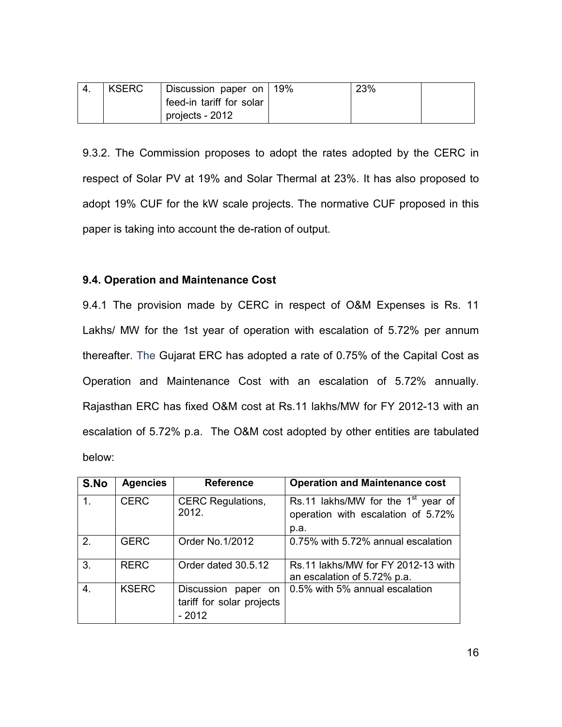| <b>KSERC</b> | Discussion paper on 19%  | 23% |  |
|--------------|--------------------------|-----|--|
|              | feed-in tariff for solar |     |  |
|              | projects - 2012          |     |  |

9.3.2. The Commission proposes to adopt the rates adopted by the CERC in respect of Solar PV at 19% and Solar Thermal at 23%. It has also proposed to adopt 19% CUF for the kW scale projects. The normative CUF proposed in this paper is taking into account the de-ration of output.

### 9.4. Operation and Maintenance Cost

9.4.1 The provision made by CERC in respect of O&M Expenses is Rs. 11 Lakhs/ MW for the 1st year of operation with escalation of 5.72% per annum thereafter. The Gujarat ERC has adopted a rate of 0.75% of the Capital Cost as Operation and Maintenance Cost with an escalation of 5.72% annually. Rajasthan ERC has fixed O&M cost at Rs.11 lakhs/MW for FY 2012-13 with an escalation of 5.72% p.a. The O&M cost adopted by other entities are tabulated below:

| S.No | <b>Agencies</b> | <b>Reference</b>                                              | <b>Operation and Maintenance cost</b>                                              |
|------|-----------------|---------------------------------------------------------------|------------------------------------------------------------------------------------|
|      | <b>CERC</b>     | <b>CERC Regulations,</b><br>2012.                             | Rs.11 lakhs/MW for the $1st$ year of<br>operation with escalation of 5.72%<br>p.a. |
| 2.   | <b>GERC</b>     | Order No.1/2012                                               | 0.75% with 5.72% annual escalation                                                 |
| 3.   | <b>RERC</b>     | Order dated 30.5.12                                           | Rs.11 lakhs/MW for FY 2012-13 with<br>an escalation of 5.72% p.a.                  |
| 4.   | <b>KSERC</b>    | Discussion<br>paper on<br>tariff for solar projects<br>- 2012 | 0.5% with 5% annual escalation                                                     |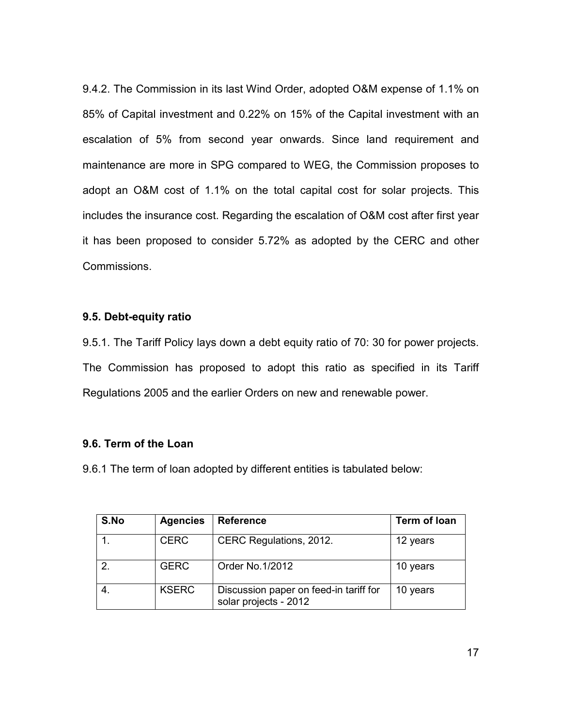9.4.2. The Commission in its last Wind Order, adopted O&M expense of 1.1% on 85% of Capital investment and 0.22% on 15% of the Capital investment with an escalation of 5% from second year onwards. Since land requirement and maintenance are more in SPG compared to WEG, the Commission proposes to adopt an O&M cost of 1.1% on the total capital cost for solar projects. This includes the insurance cost. Regarding the escalation of O&M cost after first year it has been proposed to consider 5.72% as adopted by the CERC and other Commissions.

### 9.5. Debt-equity ratio

9.5.1. The Tariff Policy lays down a debt equity ratio of 70: 30 for power projects. The Commission has proposed to adopt this ratio as specified in its Tariff Regulations 2005 and the earlier Orders on new and renewable power.

### 9.6. Term of the Loan

9.6.1 The term of loan adopted by different entities is tabulated below:

| S.No          | <b>Agencies</b> | <b>Reference</b>                                                | Term of Ioan |
|---------------|-----------------|-----------------------------------------------------------------|--------------|
|               | <b>CERC</b>     | CERC Regulations, 2012.                                         | 12 years     |
| $\mathcal{P}$ | <b>GERC</b>     | Order No.1/2012                                                 | 10 years     |
| 4.            | <b>KSERC</b>    | Discussion paper on feed-in tariff for<br>solar projects - 2012 | 10 years     |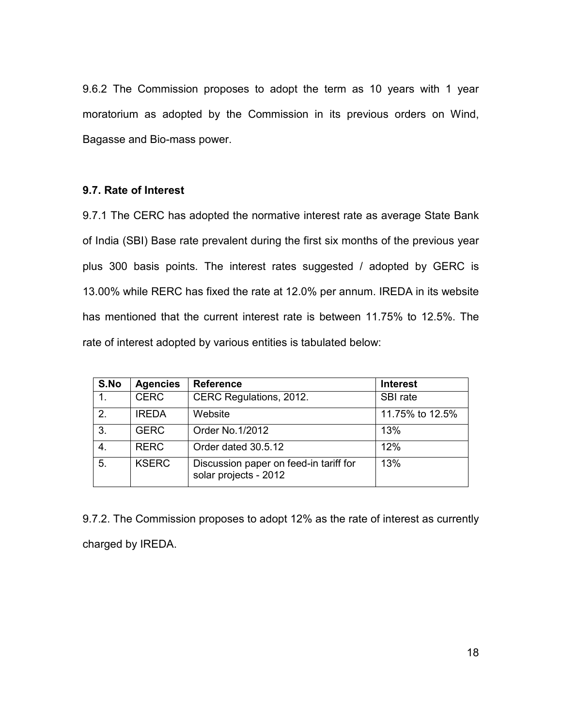9.6.2 The Commission proposes to adopt the term as 10 years with 1 year moratorium as adopted by the Commission in its previous orders on Wind, Bagasse and Bio-mass power.

### 9.7. Rate of Interest

9.7.1 The CERC has adopted the normative interest rate as average State Bank of India (SBI) Base rate prevalent during the first six months of the previous year plus 300 basis points. The interest rates suggested / adopted by GERC is 13.00% while RERC has fixed the rate at 12.0% per annum. IREDA in its website has mentioned that the current interest rate is between 11.75% to 12.5%. The rate of interest adopted by various entities is tabulated below:

| S.No           | <b>Agencies</b> | <b>Reference</b>                                                | <b>Interest</b> |
|----------------|-----------------|-----------------------------------------------------------------|-----------------|
| 1 <sub>1</sub> | <b>CERC</b>     | CERC Regulations, 2012.                                         | SBI rate        |
| 2.             | <b>IREDA</b>    | Website                                                         | 11.75% to 12.5% |
| 3.             | <b>GERC</b>     | Order No.1/2012                                                 | 13%             |
| 4.             | <b>RERC</b>     | Order dated 30.5.12                                             | 12%             |
| 5.             | <b>KSERC</b>    | Discussion paper on feed-in tariff for<br>solar projects - 2012 | 13%             |

9.7.2. The Commission proposes to adopt 12% as the rate of interest as currently charged by IREDA.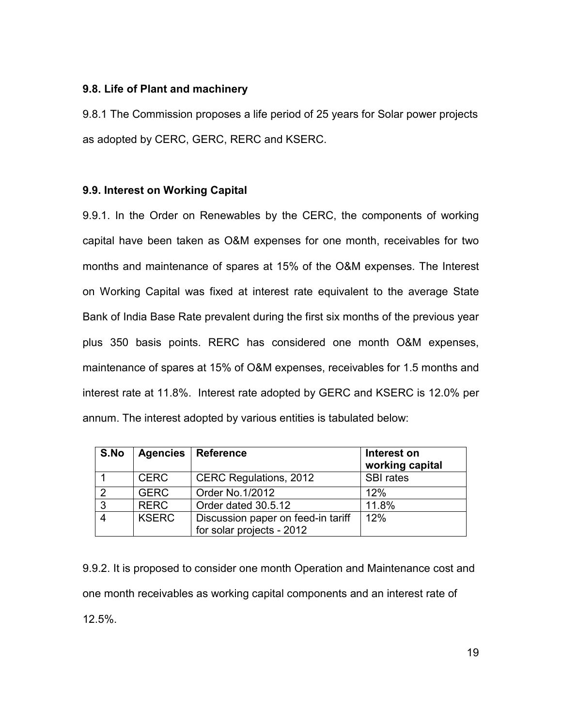### 9.8. Life of Plant and machinery

9.8.1 The Commission proposes a life period of 25 years for Solar power projects as adopted by CERC, GERC, RERC and KSERC.

### 9.9. Interest on Working Capital

9.9.1. In the Order on Renewables by the CERC, the components of working capital have been taken as O&M expenses for one month, receivables for two months and maintenance of spares at 15% of the O&M expenses. The Interest on Working Capital was fixed at interest rate equivalent to the average State Bank of India Base Rate prevalent during the first six months of the previous year plus 350 basis points. RERC has considered one month O&M expenses, maintenance of spares at 15% of O&M expenses, receivables for 1.5 months and interest rate at 11.8%. Interest rate adopted by GERC and KSERC is 12.0% per annum. The interest adopted by various entities is tabulated below:

| S.No                     | <b>Agencies</b> | <b>Reference</b>                                                | Interest on<br>working capital |
|--------------------------|-----------------|-----------------------------------------------------------------|--------------------------------|
|                          | <b>CERC</b>     | <b>CERC Regulations, 2012</b>                                   | <b>SBI</b> rates               |
| റ                        | <b>GERC</b>     | Order No. 1/2012                                                | 12%                            |
| $\mathbf{3}$             | <b>RERC</b>     | Order dated 30.5.12                                             | 11.8%                          |
| $\boldsymbol{\varDelta}$ | <b>KSERC</b>    | Discussion paper on feed-in tariff<br>for solar projects - 2012 | 12%                            |

9.9.2. It is proposed to consider one month Operation and Maintenance cost and one month receivables as working capital components and an interest rate of 12.5%.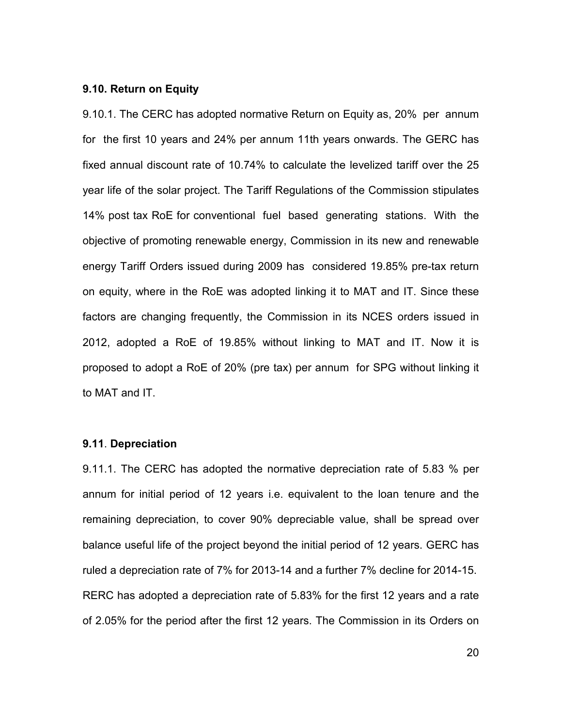### 9.10. Return on Equity

9.10.1. The CERC has adopted normative Return on Equity as, 20% per annum for the first 10 years and 24% per annum 11th years onwards. The GERC has fixed annual discount rate of 10.74% to calculate the levelized tariff over the 25 year life of the solar project. The Tariff Regulations of the Commission stipulates 14% post tax RoE for conventional fuel based generating stations. With the objective of promoting renewable energy, Commission in its new and renewable energy Tariff Orders issued during 2009 has considered 19.85% pre-tax return on equity, where in the RoE was adopted linking it to MAT and IT. Since these factors are changing frequently, the Commission in its NCES orders issued in 2012, adopted a RoE of 19.85% without linking to MAT and IT. Now it is proposed to adopt a RoE of 20% (pre tax) per annum for SPG without linking it to MAT and IT.

#### 9.11. Depreciation

9.11.1. The CERC has adopted the normative depreciation rate of 5.83 % per annum for initial period of 12 years i.e. equivalent to the loan tenure and the remaining depreciation, to cover 90% depreciable value, shall be spread over balance useful life of the project beyond the initial period of 12 years. GERC has ruled a depreciation rate of 7% for 2013-14 and a further 7% decline for 2014-15. RERC has adopted a depreciation rate of 5.83% for the first 12 years and a rate of 2.05% for the period after the first 12 years. The Commission in its Orders on

20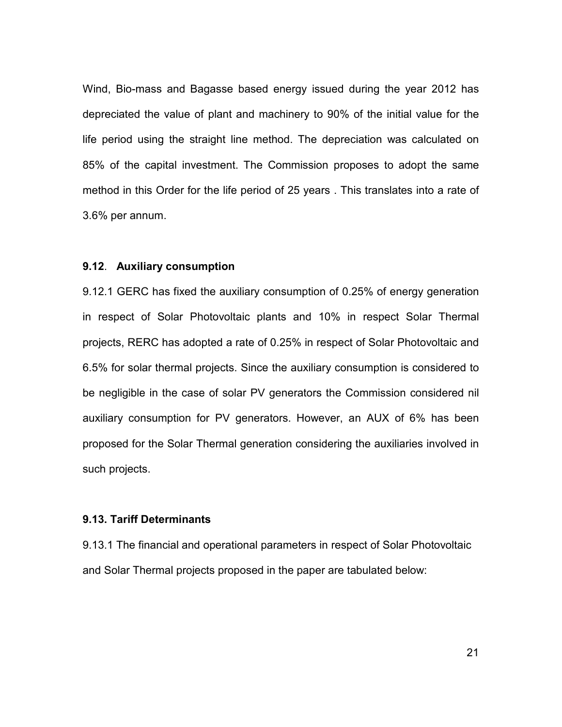Wind, Bio-mass and Bagasse based energy issued during the year 2012 has depreciated the value of plant and machinery to 90% of the initial value for the life period using the straight line method. The depreciation was calculated on 85% of the capital investment. The Commission proposes to adopt the same method in this Order for the life period of 25 years . This translates into a rate of 3.6% per annum.

#### 9.12. Auxiliary consumption

9.12.1 GERC has fixed the auxiliary consumption of 0.25% of energy generation in respect of Solar Photovoltaic plants and 10% in respect Solar Thermal projects, RERC has adopted a rate of 0.25% in respect of Solar Photovoltaic and 6.5% for solar thermal projects. Since the auxiliary consumption is considered to be negligible in the case of solar PV generators the Commission considered nil auxiliary consumption for PV generators. However, an AUX of 6% has been proposed for the Solar Thermal generation considering the auxiliaries involved in such projects.

### 9.13. Tariff Determinants

9.13.1 The financial and operational parameters in respect of Solar Photovoltaic and Solar Thermal projects proposed in the paper are tabulated below: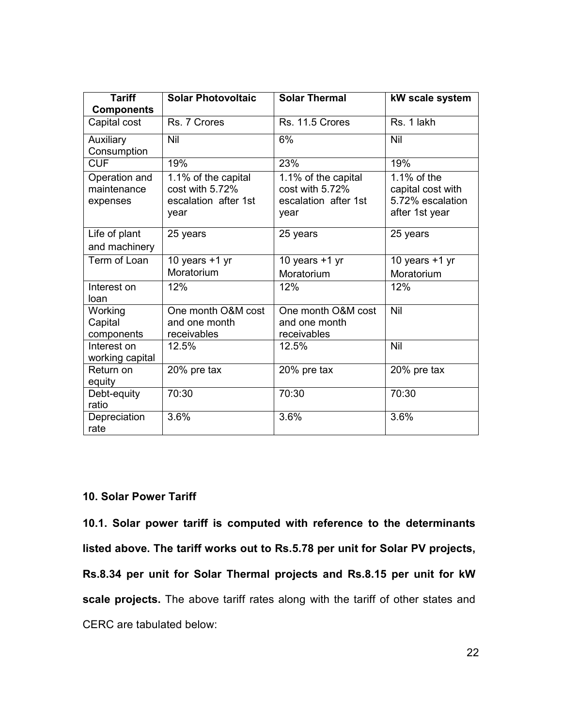| <b>Tariff</b><br><b>Components</b>       | <b>Solar Photovoltaic</b>                                              | <b>Solar Thermal</b>                                                   | kW scale system                                                        |
|------------------------------------------|------------------------------------------------------------------------|------------------------------------------------------------------------|------------------------------------------------------------------------|
| Capital cost                             | Rs. 7 Crores                                                           | Rs. 11.5 Crores                                                        | Rs. 1 lakh                                                             |
| Auxiliary<br>Consumption                 | Nil                                                                    | 6%                                                                     | Nil                                                                    |
| <b>CUF</b>                               | 19%                                                                    | 23%                                                                    | 19%                                                                    |
| Operation and<br>maintenance<br>expenses | 1.1% of the capital<br>cost with 5.72%<br>escalation after 1st<br>year | 1.1% of the capital<br>cost with 5.72%<br>escalation after 1st<br>year | 1.1% of the<br>capital cost with<br>5.72% escalation<br>after 1st year |
| Life of plant<br>and machinery           | 25 years                                                               | 25 years                                                               | 25 years                                                               |
| Term of Loan                             | 10 years $+1$ yr<br>Moratorium                                         | 10 years $+1$ yr<br>Moratorium                                         | 10 years $+1$ yr<br>Moratorium                                         |
| Interest on<br>loan                      | 12%                                                                    | 12%                                                                    | 12%                                                                    |
| Working<br>Capital<br>components         | One month O&M cost<br>and one month<br>receivables                     | One month O&M cost<br>and one month<br>receivables                     | Nil                                                                    |
| Interest on<br>working capital           | 12.5%                                                                  | 12.5%                                                                  | Nil                                                                    |
| Return on<br>equity                      | 20% pre tax                                                            | 20% pre tax                                                            | 20% pre tax                                                            |
| Debt-equity<br>ratio                     | 70:30                                                                  | 70:30                                                                  | 70:30                                                                  |
| Depreciation<br>rate                     | 3.6%                                                                   | 3.6%                                                                   | 3.6%                                                                   |

## 10. Solar Power Tariff

10.1. Solar power tariff is computed with reference to the determinants listed above. The tariff works out to Rs.5.78 per unit for Solar PV projects, Rs.8.34 per unit for Solar Thermal projects and Rs.8.15 per unit for kW scale projects. The above tariff rates along with the tariff of other states and CERC are tabulated below: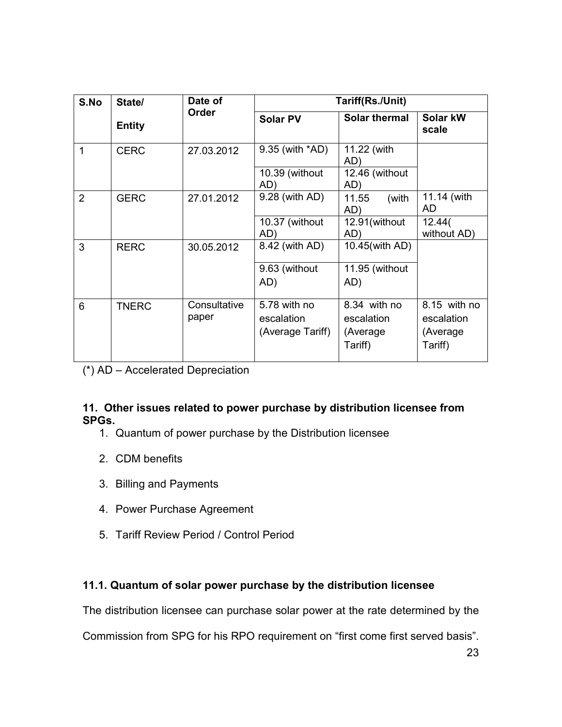| S.No           | State/        | Date of               |                                                | Tariff(Rs./Unit)                                   |                                                   |
|----------------|---------------|-----------------------|------------------------------------------------|----------------------------------------------------|---------------------------------------------------|
|                | <b>Entity</b> | Order                 | <b>Solar PV</b>                                | <b>Solar thermal</b>                               | Solar kW<br>scale                                 |
| 1              | <b>CERC</b>   | 27.03.2012            | 9.35 (with *AD)                                | 11.22 (with<br>AD)                                 |                                                   |
|                |               |                       | 10.39 (without<br>AD)                          | 12.46 (without<br>AD)                              |                                                   |
| $\overline{2}$ | <b>GERC</b>   | 27.01.2012            | 9.28 (with AD)                                 | 11.55<br>(with<br>AD)                              | 11.14 (with<br>AD                                 |
|                |               |                       | 10.37 (without<br>AD)                          | 12.91(without<br>AD)                               | 12.44(<br>without AD)                             |
| 3              | <b>RERC</b>   | 30.05.2012            | 8.42 (with AD)                                 | 10.45(with AD)                                     |                                                   |
|                |               |                       | 9.63 (without<br>AD)                           | 11.95 (without<br>AD)                              |                                                   |
| 6              | <b>TNERC</b>  | Consultative<br>paper | 5.78 with no<br>escalation<br>(Average Tariff) | 8.34 with no<br>escalation<br>(Average)<br>Tariff) | 8.15 with no<br>escalation<br>(Average<br>Tariff) |

(\*) AD – Accelerated Depreciation

## 11. Other issues related to power purchase by distribution licensee from SPGs.

- 1. Quantum of power purchase by the Distribution licensee
- 2. CDM benefits
- 3. Billing and Payments
- 4. Power Purchase Agreement
- 5. Tariff Review Period / Control Period

## 11.1. Quantum of solar power purchase by the distribution licensee

The distribution licensee can purchase solar power at the rate determined by the

Commission from SPG for his RPO requirement on "first come first served basis".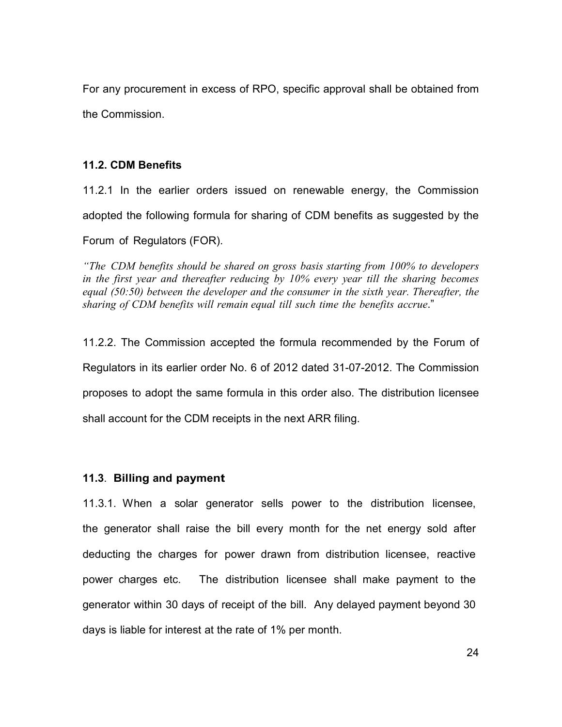For any procurement in excess of RPO, specific approval shall be obtained from the Commission.

### 11.2. CDM Benefits

11.2.1 In the earlier orders issued on renewable energy, the Commission adopted the following formula for sharing of CDM benefits as suggested by the Forum of Regulators (FOR).

"The CDM benefits should be shared on gross basis starting from 100% to developers in the first year and thereafter reducing by 10% every year till the sharing becomes equal (50:50) between the developer and the consumer in the sixth year. Thereafter, the sharing of CDM benefits will remain equal till such time the benefits accrue."

11.2.2. The Commission accepted the formula recommended by the Forum of Regulators in its earlier order No. 6 of 2012 dated 31-07-2012. The Commission proposes to adopt the same formula in this order also. The distribution licensee shall account for the CDM receipts in the next ARR filing.

### 11.3. Billing and payment

11.3.1. When a solar generator sells power to the distribution licensee, the generator shall raise the bill every month for the net energy sold after deducting the charges for power drawn from distribution licensee, reactive power charges etc. The distribution licensee shall make payment to the generator within 30 days of receipt of the bill. Any delayed payment beyond 30 days is liable for interest at the rate of 1% per month.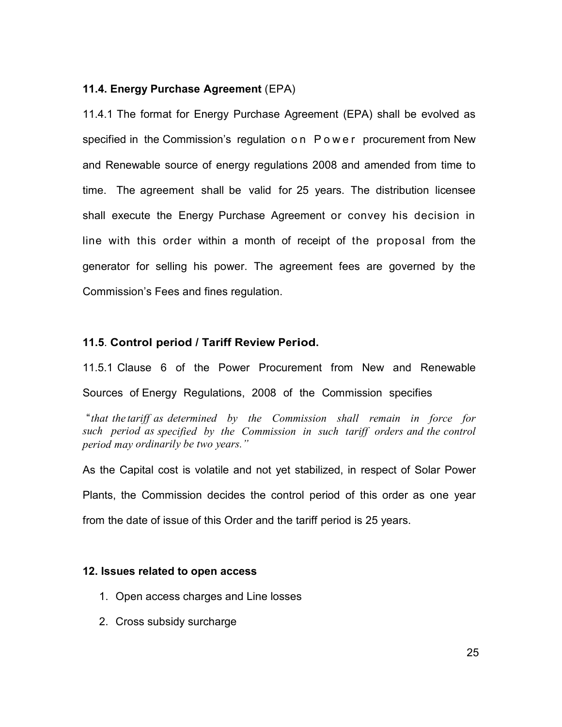### 11.4. Energy Purchase Agreement (EPA)

11.4.1 The format for Energy Purchase Agreement (EPA) shall be evolved as specified in the Commission's regulation on Power procurement from New and Renewable source of energy regulations 2008 and amended from time to time. The agreement shall be valid for 25 years. The distribution licensee shall execute the Energy Purchase Agreement or convey his decision in line with this order within a month of receipt of the proposal from the generator for selling his power. The agreement fees are governed by the Commission's Fees and fines regulation.

### 11.5. Control period / Tariff Review Period.

11.5.1 Clause 6 of the Power Procurement from New and Renewable Sources of Energy Regulations, 2008 of the Commission specifies

 "that the tariff as determined by the Commission shall remain in force for such period as specified by the Commission in such tariff orders and the control period may ordinarily be two years."

As the Capital cost is volatile and not yet stabilized, in respect of Solar Power Plants, the Commission decides the control period of this order as one year from the date of issue of this Order and the tariff period is 25 years.

### 12. Issues related to open access

- 1. Open access charges and Line losses
- 2. Cross subsidy surcharge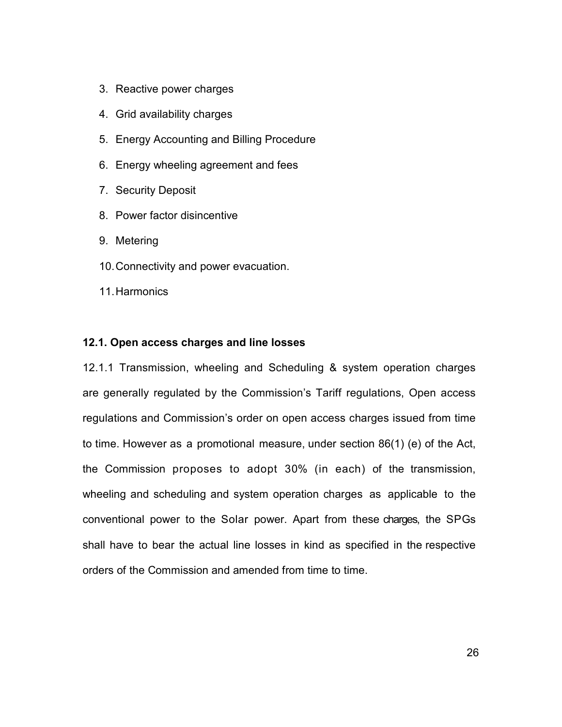- 3. Reactive power charges
- 4. Grid availability charges
- 5. Energy Accounting and Billing Procedure
- 6. Energy wheeling agreement and fees
- 7. Security Deposit
- 8. Power factor disincentive
- 9. Metering
- 10. Connectivity and power evacuation.
- 11. Harmonics

### 12.1. Open access charges and line losses

12.1.1 Transmission, wheeling and Scheduling & system operation charges are generally regulated by the Commission's Tariff regulations, Open access regulations and Commission's order on open access charges issued from time to time. However as a promotional measure, under section 86(1) (e) of the Act, the Commission proposes to adopt 30% (in each) of the transmission, wheeling and scheduling and system operation charges as applicable to the conventional power to the Solar power. Apart from these charges, the SPGs shall have to bear the actual line losses in kind as specified in the respective orders of the Commission and amended from time to time.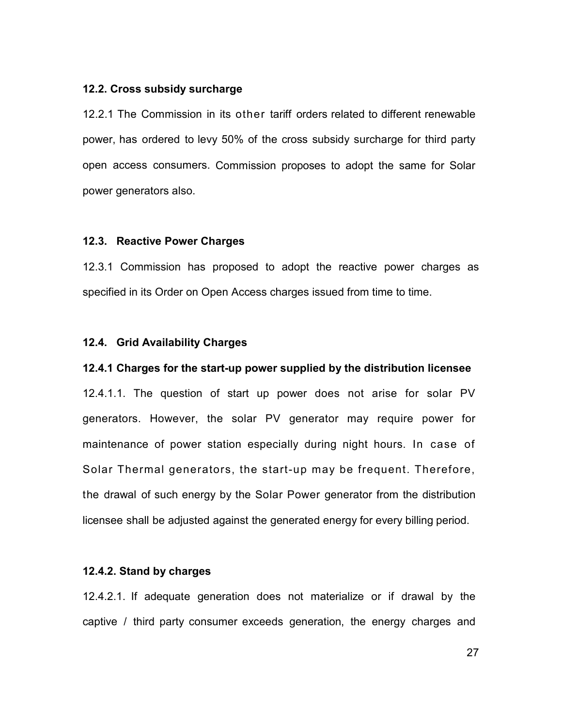#### 12.2. Cross subsidy surcharge

12.2.1 The Commission in its other tariff orders related to different renewable power, has ordered to levy 50% of the cross subsidy surcharge for third party open access consumers. Commission proposes to adopt the same for Solar power generators also.

### 12.3. Reactive Power Charges

12.3.1 Commission has proposed to adopt the reactive power charges as specified in its Order on Open Access charges issued from time to time.

### 12.4. Grid Availability Charges

#### 12.4.1 Charges for the start-up power supplied by the distribution licensee

12.4.1.1. The question of start up power does not arise for solar PV generators. However, the solar PV generator may require power for maintenance of power station especially during night hours. In case of Solar Thermal generators, the start-up may be frequent. Therefore, the drawal of such energy by the Solar Power generator from the distribution licensee shall be adjusted against the generated energy for every billing period.

### 12.4.2. Stand by charges

12.4.2.1. If adequate generation does not materialize or if drawal by the captive / third party consumer exceeds generation, the energy charges and

27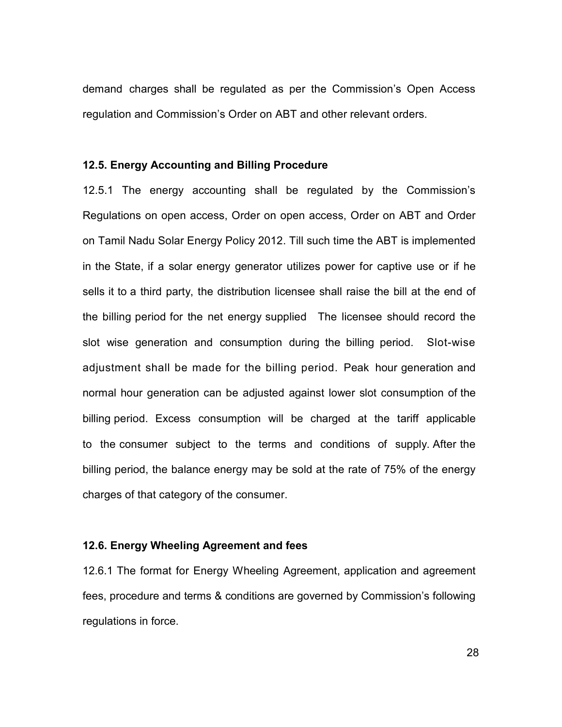demand charges shall be regulated as per the Commission's Open Access regulation and Commission's Order on ABT and other relevant orders.

#### 12.5. Energy Accounting and Billing Procedure

12.5.1 The energy accounting shall be regulated by the Commission's Regulations on open access, Order on open access, Order on ABT and Order on Tamil Nadu Solar Energy Policy 2012. Till such time the ABT is implemented in the State, if a solar energy generator utilizes power for captive use or if he sells it to a third party, the distribution licensee shall raise the bill at the end of the billing period for the net energy supplied The licensee should record the slot wise generation and consumption during the billing period. Slot-wise adjustment shall be made for the billing period. Peak hour generation and normal hour generation can be adjusted against lower slot consumption of the billing period. Excess consumption will be charged at the tariff applicable to the consumer subject to the terms and conditions of supply. After the billing period, the balance energy may be sold at the rate of 75% of the energy charges of that category of the consumer.

### 12.6. Energy Wheeling Agreement and fees

12.6.1 The format for Energy Wheeling Agreement, application and agreement fees, procedure and terms & conditions are governed by Commission's following regulations in force.

28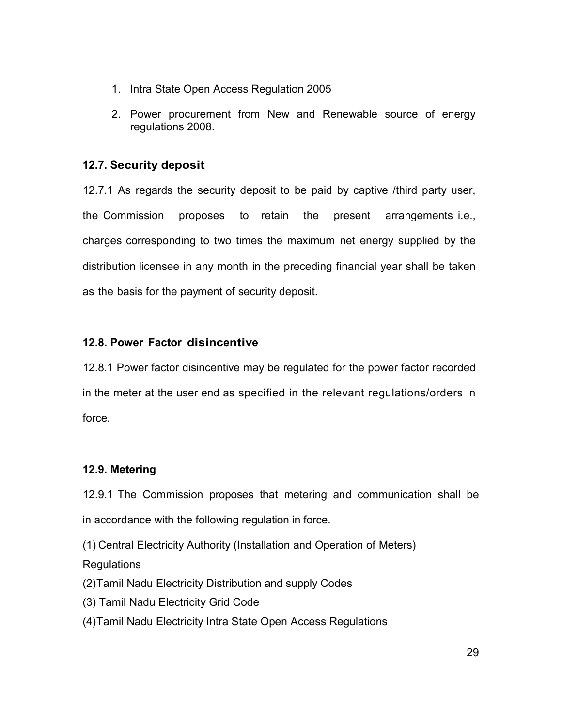- 1. Intra State Open Access Regulation 2005
- 2. Power procurement from New and Renewable source of energy regulations 2008.

## 12.7. Security deposit

12.7.1 As regards the security deposit to be paid by captive /third party user, the Commission proposes to retain the present arrangements i.e., charges corresponding to two times the maximum net energy supplied by the distribution licensee in any month in the preceding financial year shall be taken as the basis for the payment of security deposit.

## 12.8. Power Factor disincentive

12.8.1 Power factor disincentive may be regulated for the power factor recorded in the meter at the user end as specified in the relevant regulations/orders in force.

## 12.9. Metering

12.9.1 The Commission proposes that metering and communication shall be in accordance with the following regulation in force.

(1) Central Electricity Authority (Installation and Operation of Meters) Regulations

- (2) Tamil Nadu Electricity Distribution and supply Codes
- (3) Tamil Nadu Electricity Grid Code
- (4) Tamil Nadu Electricity Intra State Open Access Regulations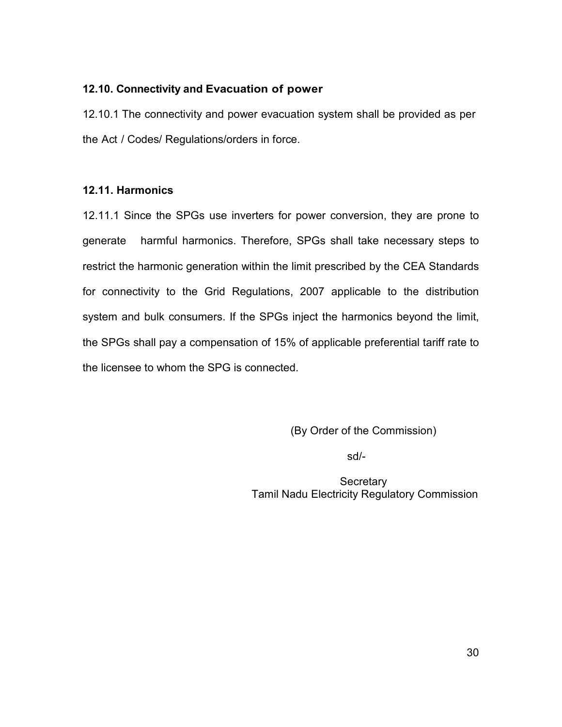### 12.10. Connectivity and Evacuation of power

12.10.1 The connectivity and power evacuation system shall be provided as per the Act / Codes/ Regulations/orders in force.

## 12.11. Harmonics

12.11.1 Since the SPGs use inverters for power conversion, they are prone to generate harmful harmonics. Therefore, SPGs shall take necessary steps to restrict the harmonic generation within the limit prescribed by the CEA Standards for connectivity to the Grid Regulations, 2007 applicable to the distribution system and bulk consumers. If the SPGs inject the harmonics beyond the limit, the SPGs shall pay a compensation of 15% of applicable preferential tariff rate to the licensee to whom the SPG is connected.

(By Order of the Commission)

sd/-

**Secretary** Tamil Nadu Electricity Regulatory Commission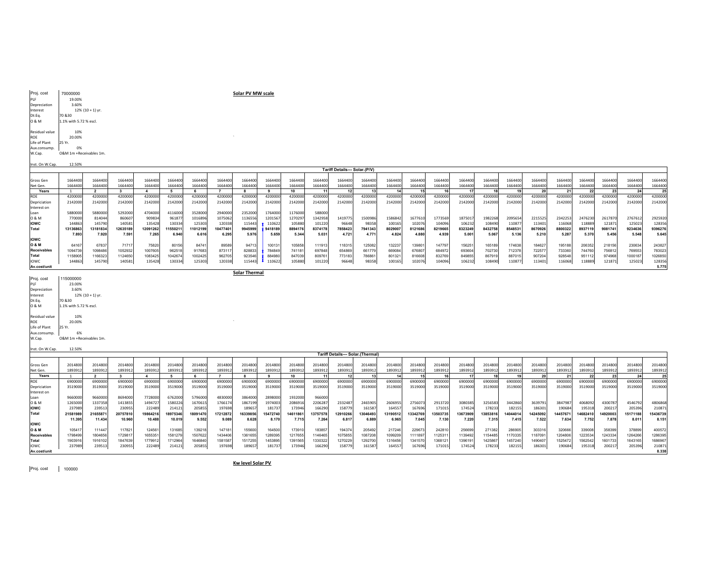Proj. cost 100000

Kw level Solar PV

| Inst. On W.Cap.    | 12.50%                                  |          |          |          |          |          |          |          |          |          |          |          |          |          |          |         |          |          |         |          |          |          |          |          |          |
|--------------------|-----------------------------------------|----------|----------|----------|----------|----------|----------|----------|----------|----------|----------|----------|----------|----------|----------|---------|----------|----------|---------|----------|----------|----------|----------|----------|----------|
|                    | <b>Tariff Details--- Solar.(Thermal</b> |          |          |          |          |          |          |          |          |          |          |          |          |          |          |         |          |          |         |          |          |          |          |          |          |
|                    |                                         |          |          |          |          |          |          |          |          |          |          |          |          |          |          |         |          |          |         |          |          |          |          |          |          |
| Gross Gen          | 2014800                                 | 2014800  | 2014800  | 2014800  | 2014800  | 2014800  | 2014800  | 2014800  | 201480   | 2014800  | 2014800  | 2014800  | 2014800  | 2014800  | 2014800  | 2014800 | 2014800  | 2014800  | 2014800 | 2014800  | 2014800  | 2014800  | 2014800  | 2014800  | 2014800  |
| Net Gen.           | 1893912                                 | 1893912  | 1893912  | 1893912  | 1893912  | 1893912  | 1893912  | 1893912  | 1893912  | 1893912  | 1893912  | 1893912  | 1893912  | 1893912  | 1893912  | 1893912 | 1893912  | 1893912  | 1893912 | 1893912  | 1893912  | 1893912  | 1893912  | 1893912  | 1893912  |
| Years              |                                         |          |          |          |          |          |          |          |          | 10       |          |          |          |          |          |         |          |          |         |          |          | 22       | 23       |          | 25       |
| ROE                | 6900000                                 | 6900000  | 6900000  | 6900000  | 6900000  | 6900000  | 6900000  | 690000   | 6900000  | 690000   | 6900000  | 690000   | 6900000  | 6900000  | 6900000  | 6900000 | 6900000  | 6900000  | 690000  | 690000   | 6900000  | 6900000  | 690000   | 6900000  | 6900000  |
| Depriciation       | 3519000                                 | 3519000  | 3519000  | 3519000  | 3519000  | 3519000  | 3519000  | 3519000  | 3519000  | 3519000  | 3519000  | 3519000  | 3519000  | 3519000  | 3519000  | 3519000 | 3519000  | 3519000  | 3519000 | 3519000  | 3519000  | 3519000  | 3519000  | 3519000  | 3519000  |
| Interest on        |                                         |          |          |          |          |          |          |          |          |          |          |          |          |          |          |         |          |          |         |          |          |          |          |          |          |
| Loan               | 9660000                                 | 9660000  | 8694000  | 7728000  | 6762000  | 5796000  | 4830000  | 3864000  | 2898000  | 1932000  | 966000   |          |          |          |          |         |          |          |         |          |          |          |          |          |          |
| 0 & M              | 1265000                                 | 1337358  | 1413855  | 1494727  | 1580226  | 1670615  | 1766174  | 1867199  | 197400   | 2086916  | 2206287  | 233248   | 2465905  | 2606955  | 2756073  | 2913720 | 3080385  | 3256583  | 3442860 | 3639791  | 3847987  | 4068092  | 4300787  | 4546792  | 4806868  |
| <b>IOWC</b>        | 237989                                  | 239513   | 230955   | 222489   | 214121   | 205855   | 197698   | 189657   | 181737   | 173946   | 166290   | 158779   | 161587   | 164557   | 167696   | 171015  | 174524   | 178233   | 182155  | 186301   | 190684   | 195318   | 200217   | 205396   | 21087    |
| <b>Total</b>       | 21581989                                | 21655871 | 20757810 | 19864216 | 18975346 | 18091470 | 17212872 | 16339856 | 15472740 | 14611861 | 13757578 | 12910266 | 13046493 | 13190512 | 13342769 | 3503735 | 13673909 | 13853816 | 4044014 | 14245092 | 14457671 | 14682410 | 14920003 | 15171188 | 15436739 |
|                    | 11.395                                  | 11.434   | 10,960   | 10.488   | 10.019   | 9.552    | 9.089    | 8.628    | 8.170    | 7.715    | 7.264    | 6.81     | 6.889    | 6.965    | 7.045    | 7.130   | 7.220    | 7.315    | 7.415   | 7.522    | 7.634    | 7.752    | 7.878    | 8.011    | 8.151    |
| <b>IOWC</b>        |                                         |          |          |          |          |          |          |          |          |          |          |          |          |          |          |         |          |          |         |          |          |          |          |          |          |
| O & M              | 105417                                  | 111447   | 117821   | 124561   | 131685   | 139218   | 147181   | 155600   | 164500   | 173910   | 183857   | 194374   | 205492   | 217246   | 229673   | 242810  | 256699   | 271382   | 286905  | 303316   | 320666   | 339008   | 358399   | 378899   | 400572   |
| <b>Receivables</b> | 1798499                                 | 1804656  | 1729817  | 1655351  | 1581279  | 1507622  | 1434406  | 1361655  | 1289395  | 1217655  | 1146465  | 1075855  | 1087208  | 1099209  | 1111897  | 112531  | 1139492  | 1154485  | 1170335 | 118709   | 1204806  | 1223534  | 1243334  | 1264266  | 1286395  |
| <b>Total</b>       | 190391                                  | 1916102  | 1847639  | 1779912  | 1712964  | 1646840  | 1581587  | 1517255  | 1453895  | 1391565  | 1330322  | 1270229  | 1292700  | 1316456  | 1341570  | 1368121 | 139619   | 142586   | 1457240 | 1490407  | 1525472  | 1562542  | 1601733  | 1643165  | 168696   |
| lowc               | 237989                                  | 239513   | 230955   | 222489   | 214121   | 205855   | 197698   | 189657   | 181737   | 173946   | 166290   | 158779   | 161587   | 164557   | 167696   | 171015  | 174524   | 178233   | 182155  | 186301   | 190684   | 195318   | 200217   | 205396   | 210871   |
| Av.cost/unit       |                                         |          |          |          |          |          |          |          |          |          |          |          |          |          |          |         |          |          |         |          |          |          |          |          | 8.338    |

| Proj. cost     | 115000000               |
|----------------|-------------------------|
| PLF            | 23.00%                  |
| Depreciation   | 3.60%                   |
| Interest       | $12\%$ (10 + 1) yr.     |
| Dt:Eq.         | 70 & 30                 |
| 0 & M          | 1.1% with 5.72 % escl.  |
| Residual value | 10%                     |
| ROE            | 20.00%                  |
| Life of Plant  | 25 Yr.                  |
| Aux.consump.   | 6%                      |
| W.Cap.         | O&M 1m +Receivables 1m. |
|                |                         |

Solar Thermal

|                    |          |          |          |          |          |          |          |         |         |         |         | Tariff Details--- Solar.(P/V |         |         |         |         |         |         |         |         |         |         |         |         |         |
|--------------------|----------|----------|----------|----------|----------|----------|----------|---------|---------|---------|---------|------------------------------|---------|---------|---------|---------|---------|---------|---------|---------|---------|---------|---------|---------|---------|
|                    |          |          |          |          |          |          |          |         |         |         |         |                              |         |         |         |         |         |         |         |         |         |         |         |         |         |
| <b>Gross Gen</b>   | 1664400  | 1664400  | 1664400  | 166440   | 1664400  | 166440   | 1664400  | 1664400 | 1664400 | 1664400 | 1664400 | 1664400                      | 1664400 | 1664400 | 1664400 | 1664400 | 1664400 | 1664400 | 1664400 | 1664400 | 1664400 | 1664400 | 1664400 | 1664400 | 1664400 |
| Net Gen.           | 1664400  | 1664400  | 1664400  | 1664400  | 1664400  | 1664400  | 1664400  | 1664400 | 1664400 | 1664400 | 1664400 | 1664400                      | 1664400 | 1664400 | 1664400 | 1664400 | 1664400 | 1664400 | 1664400 | 1664400 | 1664400 | 1664400 | 1664400 | 1664400 | 1664400 |
| Years              |          |          |          |          |          |          |          |         |         |         | 11      |                              |         |         |         |         |         |         |         |         |         | 22      |         |         |         |
| <b>ROL</b>         | 4200000  | 4200000  | 4200000  | 420000   | 4200000  | 4200000  | 4200000  | 4200000 | 4200000 | 4200000 | 4200000 | 4200000                      | 4200000 | 4200000 | 4200000 | 4200000 | 4200000 | 4200000 | 4200000 | 4200000 | 4200000 | 4200000 | 4200000 | 4200000 | 420000C |
| Depriciation       | 2142000  | 2142000  | 2142000  | 2142000  | 2142000  | 2142000  | 2142000  | 2142000 | 2142000 | 2142000 | 2142000 | 2142000                      | 2142000 | 2142000 | 2142000 | 2142000 | 2142000 | 2142000 | 2142000 | 2142000 | 2142000 | 2142000 | 2142000 | 2142000 | 2142000 |
| Interest on        |          |          |          |          |          |          |          |         |         |         |         |                              |         |         |         |         |         |         |         |         |         |         |         |         |         |
|                    | 5880000  | 5880000  | 5292000  | 4704000  | 4116000  | 3528000  | 2940000  | 2352000 | 1764000 | 1176000 | 588000  |                              |         |         |         |         |         |         |         |         |         |         |         |         |         |
| 0 & M              | 770000   | 814044   | 860607   | 909834   | 961877   | 1016896  | 1075062  | 1136556 | 1201567 | 1270297 | 1342958 | 141977                       | 1500986 | 1586842 | 1677610 | 1773569 | 1875017 | 1982268 | 2095654 | 2215525 | 2342253 | 2476230 | 2617870 | 2767612 | 2925920 |
| <b>IOWC</b>        | 14486    | 145790   | 140581   | 135428   | 130334   | 12530    | 120338   | 115443  | 110622  | 105880  | 101220  | 9664                         | 98358   | 100165  | 102076  | 10409   | 106232  | 108490  | 11087   | 113401  | 116068  | 118889  | 12187   | 125023  | 128356  |
| Total              | 13136863 | 13181834 | 12635189 | 12091262 | 11550211 | 11012199 | 10477401 | 9945999 | 9418189 | 8894176 | 8374178 | 785842                       | 7941343 | 8029007 | 8121686 | 8219665 | 8323249 | 8432758 | 8548531 | 8670926 | 8800322 | 8937119 | 9081741 | 9234636 | 9396276 |
|                    | 7.895    | 7.920    | 7.591    | 7.265    | 6.940    | 6.616    | 6.295    | 5.976   | 5.659   | 5.344   | 5.031   | 4.721                        | 4.771   | 4.824   | 4.880   | 4.939   | 5.001   | 5.06    | 5.136   | 5.210   | 5.287   | 5.370   | 5.456   | 5.548   | 5.645   |
| <b>IOWC</b>        |          |          |          |          |          |          |          |         |         |         |         |                              |         |         |         |         |         |         |         |         |         |         |         |         |         |
| <b>10 &amp; M</b>  | 6416     | 67837    | 71717    | 75820    | 80156    | 84741    | 89589    | 94713   | 100131  | 105858  | 111913  | 11831                        | 125082  | 132237  | 13980   | 147797  | 156251  | 165189  | 174638  | 184627  | 195188  | 206352  | 218156  | 230634  | 243827  |
| <b>Receivables</b> | 1094739  | 1098486  | 1052932  | 1007605  | 962518   | 917683   | 873117   | 828833  | 784849  | 741181  | 697848  | 65486                        | 661779  | 669084  | 676807  | 684972  | 693604  | 702730  | 712378  | 72257   | 733360  | 744760  | 756812  | 769553  | 783023  |
| Total              | 115890   | 1166323  | 1124650  | 1083425  | 1042674  | 1002425  | 962705   | 923546  | 884980  | 847039  | 80976   | 77318.                       | 786861  | 801321  | 816608  | 83276   | 849855  | 867919  | 887015  | 907204  | 928548  | 951112  | 974968  | 1000187 | 1026850 |
| llowc              | 144863   | 145790   | 140581   | 135428   | 130334   | 125303   | 120338   | 115443  | 110622  | 105880  | 101220  | 96648                        | 98358   | 100165  | 102076  | 104096  | 106232  | 108490  | 110877  | 113401  | 116068  | 118889  | 121871  | 125023  | 128356  |
| Av.cost/unit       |          |          |          |          |          |          |          |         |         |         |         |                              |         |         |         |         |         |         |         |         |         |         |         |         | 5.775   |

Inst. On W.Cap. 12.50%

Proj. costPLF 19.00% Depreciation 3.60% Interest 12% (10 + 1) yr. O & M 1.1% with 5.72 % escl. PLF<br>Depreciation<br>Interest<br>Dt:Eq.<br>0 & M Residual value 10%<br>ROE 20.00%<br>Life of Plant 25 Yr.<br>Aux.consump. 0&M 1m +Receivables 1m.

70000000

Solar PV MW scale